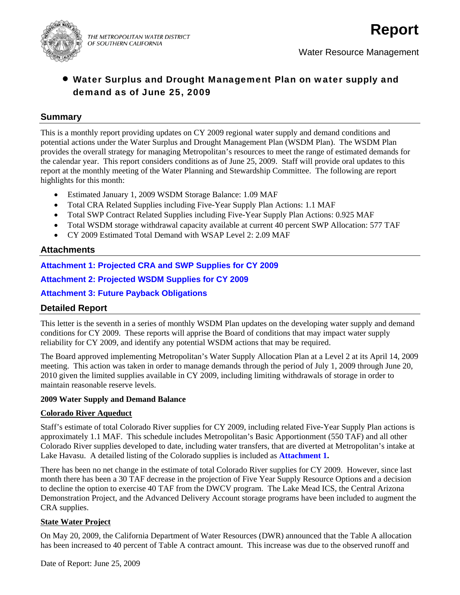

# • Water Surplus and Drought Management Plan on water supply and demand as of June 25, 2009

## **Summary**

This is a monthly report providing updates on CY 2009 regional water supply and demand conditions and potential actions under the Water Surplus and Drought Management Plan (WSDM Plan). The WSDM Plan provides the overall strategy for managing Metropolitan's resources to meet the range of estimated demands for the calendar year. This report considers conditions as of June 25, 2009. Staff will provide oral updates to this report at the monthly meeting of the Water Planning and Stewardship Committee. The following are report highlights for this month:

- Estimated January 1, 2009 WSDM Storage Balance: 1.09 MAF
- Total CRA Related Supplies including Five-Year Supply Plan Actions: 1.1 MAF
- Total SWP Contract Related Supplies including Five-Year Supply Plan Actions: 0.925 MAF
- Total WSDM storage withdrawal capacity available at current 40 percent SWP Allocation: 577 TAF
- CY 2009 Estimated Total Demand with WSAP Level 2: 2.09 MAF

## **Attachments**

**Attachment 1: Projected CRA and SWP Supplies for CY 2009** 

**Attachment 2: Projected WSDM Supplies for CY 2009** 

## **Attachment 3: Future Payback Obligations**

# **Detailed Report**

This letter is the seventh in a series of monthly WSDM Plan updates on the developing water supply and demand conditions for CY 2009. These reports will apprise the Board of conditions that may impact water supply reliability for CY 2009, and identify any potential WSDM actions that may be required.

The Board approved implementing Metropolitan's Water Supply Allocation Plan at a Level 2 at its April 14, 2009 meeting. This action was taken in order to manage demands through the period of July 1, 2009 through June 20, 2010 given the limited supplies available in CY 2009, including limiting withdrawals of storage in order to maintain reasonable reserve levels.

### **2009 Water Supply and Demand Balance**

### **Colorado River Aqueduct**

Staff's estimate of total Colorado River supplies for CY 2009, including related Five-Year Supply Plan actions is approximately 1.1 MAF. This schedule includes Metropolitan's Basic Apportionment (550 TAF) and all other Colorado River supplies developed to date, including water transfers, that are diverted at Metropolitan's intake at Lake Havasu. A detailed listing of the Colorado supplies is included as **Attachment 1.**

There has been no net change in the estimate of total Colorado River supplies for CY 2009. However, since last month there has been a 30 TAF decrease in the projection of Five Year Supply Resource Options and a decision to decline the option to exercise 40 TAF from the DWCV program. The Lake Mead ICS, the Central Arizona Demonstration Project, and the Advanced Delivery Account storage programs have been included to augment the CRA supplies.

### **State Water Project**

On May 20, 2009, the California Department of Water Resources (DWR) announced that the Table A allocation has been increased to 40 percent of Table A contract amount. This increase was due to the observed runoff and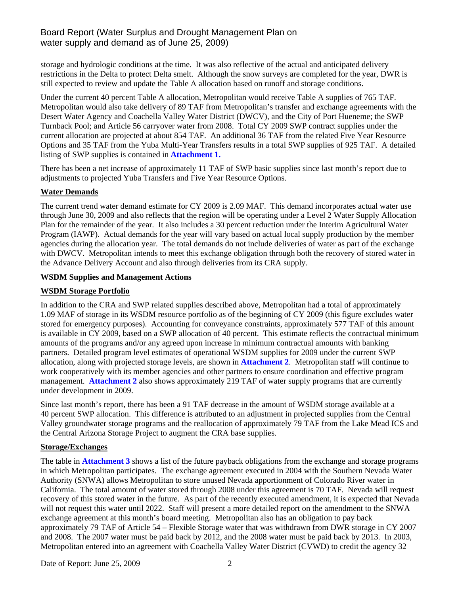# Board Report (Water Surplus and Drought Management Plan on water supply and demand as of June 25, 2009)

storage and hydrologic conditions at the time. It was also reflective of the actual and anticipated delivery restrictions in the Delta to protect Delta smelt. Although the snow surveys are completed for the year, DWR is still expected to review and update the Table A allocation based on runoff and storage conditions.

Under the current 40 percent Table A allocation, Metropolitan would receive Table A supplies of 765 TAF. Metropolitan would also take delivery of 89 TAF from Metropolitan's transfer and exchange agreements with the Desert Water Agency and Coachella Valley Water District (DWCV), and the City of Port Hueneme; the SWP Turnback Pool; and Article 56 carryover water from 2008. Total CY 2009 SWP contract supplies under the current allocation are projected at about 854 TAF. An additional 36 TAF from the related Five Year Resource Options and 35 TAF from the Yuba Multi-Year Transfers results in a total SWP supplies of 925 TAF. A detailed listing of SWP supplies is contained in **Attachment 1.**

There has been a net increase of approximately 11 TAF of SWP basic supplies since last month's report due to adjustments to projected Yuba Transfers and Five Year Resource Options.

## **Water Demands**

The current trend water demand estimate for CY 2009 is 2.09 MAF. This demand incorporates actual water use through June 30, 2009 and also reflects that the region will be operating under a Level 2 Water Supply Allocation Plan for the remainder of the year. It also includes a 30 percent reduction under the Interim Agricultural Water Program (IAWP). Actual demands for the year will vary based on actual local supply production by the member agencies during the allocation year. The total demands do not include deliveries of water as part of the exchange with DWCV. Metropolitan intends to meet this exchange obligation through both the recovery of stored water in the Advance Delivery Account and also through deliveries from its CRA supply.

## **WSDM Supplies and Management Actions**

## **WSDM Storage Portfolio**

In addition to the CRA and SWP related supplies described above, Metropolitan had a total of approximately 1.09 MAF of storage in its WSDM resource portfolio as of the beginning of CY 2009 (this figure excludes water stored for emergency purposes). Accounting for conveyance constraints, approximately 577 TAF of this amount is available in CY 2009, based on a SWP allocation of 40 percent. This estimate reflects the contractual minimum amounts of the programs and/or any agreed upon increase in minimum contractual amounts with banking partners. Detailed program level estimates of operational WSDM supplies for 2009 under the current SWP allocation, along with projected storage levels, are shown in **Attachment 2**. Metropolitan staff will continue to work cooperatively with its member agencies and other partners to ensure coordination and effective program management. **Attachment 2** also shows approximately 219 TAF of water supply programs that are currently under development in 2009.

Since last month's report, there has been a 91 TAF decrease in the amount of WSDM storage available at a 40 percent SWP allocation. This difference is attributed to an adjustment in projected supplies from the Central Valley groundwater storage programs and the reallocation of approximately 79 TAF from the Lake Mead ICS and the Central Arizona Storage Project to augment the CRA base supplies.

### **Storage/Exchanges**

The table in **Attachment 3** shows a list of the future payback obligations from the exchange and storage programs in which Metropolitan participates. The exchange agreement executed in 2004 with the Southern Nevada Water Authority (SNWA) allows Metropolitan to store unused Nevada apportionment of Colorado River water in California. The total amount of water stored through 2008 under this agreement is 70 TAF. Nevada will request recovery of this stored water in the future. As part of the recently executed amendment, it is expected that Nevada will not request this water until 2022. Staff will present a more detailed report on the amendment to the SNWA exchange agreement at this month's board meeting. Metropolitan also has an obligation to pay back approximately 79 TAF of Article 54 – Flexible Storage water that was withdrawn from DWR storage in CY 2007 and 2008. The 2007 water must be paid back by 2012, and the 2008 water must be paid back by 2013. In 2003, Metropolitan entered into an agreement with Coachella Valley Water District (CVWD) to credit the agency 32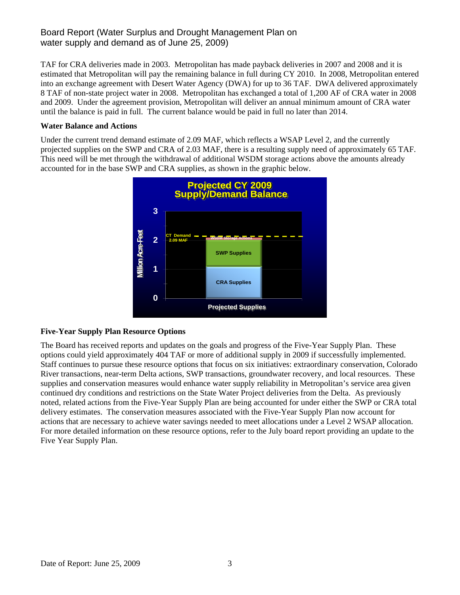# Board Report (Water Surplus and Drought Management Plan on water supply and demand as of June 25, 2009)

TAF for CRA deliveries made in 2003. Metropolitan has made payback deliveries in 2007 and 2008 and it is estimated that Metropolitan will pay the remaining balance in full during CY 2010. In 2008, Metropolitan entered into an exchange agreement with Desert Water Agency (DWA) for up to 36 TAF. DWA delivered approximately 8 TAF of non-state project water in 2008. Metropolitan has exchanged a total of 1,200 AF of CRA water in 2008 and 2009. Under the agreement provision, Metropolitan will deliver an annual minimum amount of CRA water until the balance is paid in full. The current balance would be paid in full no later than 2014.

### **Water Balance and Actions**

Under the current trend demand estimate of 2.09 MAF, which reflects a WSAP Level 2, and the currently projected supplies on the SWP and CRA of 2.03 MAF, there is a resulting supply need of approximately 65 TAF. This need will be met through the withdrawal of additional WSDM storage actions above the amounts already accounted for in the base SWP and CRA supplies, as shown in the graphic below.



## **Five-Year Supply Plan Resource Options**

The Board has received reports and updates on the goals and progress of the Five-Year Supply Plan. These options could yield approximately 404 TAF or more of additional supply in 2009 if successfully implemented. Staff continues to pursue these resource options that focus on six initiatives: extraordinary conservation, Colorado River transactions, near-term Delta actions, SWP transactions, groundwater recovery, and local resources. These supplies and conservation measures would enhance water supply reliability in Metropolitan's service area given continued dry conditions and restrictions on the State Water Project deliveries from the Delta. As previously noted, related actions from the Five-Year Supply Plan are being accounted for under either the SWP or CRA total delivery estimates. The conservation measures associated with the Five-Year Supply Plan now account for actions that are necessary to achieve water savings needed to meet allocations under a Level 2 WSAP allocation. For more detailed information on these resource options, refer to the July board report providing an update to the Five Year Supply Plan.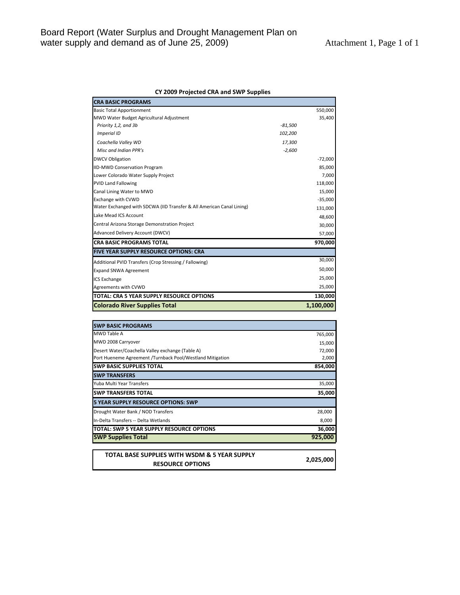#### **CY 2009 Projected CRA and SWP Supplies**

| <b>CRA BASIC PROGRAMS</b>                                             |           |           |
|-----------------------------------------------------------------------|-----------|-----------|
| <b>Basic Total Apportionment</b>                                      |           | 550,000   |
| MWD Water Budget Agricultural Adjustment                              |           | 35,400    |
| Priority 1,2, and 3b                                                  | $-81,500$ |           |
| Imperial ID                                                           | 102,200   |           |
| Coachella Valley WD                                                   | 17,300    |           |
| Misc and Indian PPR's                                                 | $-2,600$  |           |
| <b>DWCV Obligation</b>                                                |           | $-72,000$ |
| <b>IID-MWD Conservation Program</b>                                   |           | 85,000    |
| Lower Colorado Water Supply Project                                   |           | 7,000     |
| <b>PVID Land Fallowing</b>                                            |           | 118,000   |
| Canal Lining Water to MWD                                             |           | 15,000    |
| <b>Exchange with CVWD</b>                                             |           | $-35,000$ |
| Water Exchanged with SDCWA (IID Transfer & All American Canal Lining) |           | 131,000   |
| Lake Mead ICS Account                                                 |           | 48,600    |
| Central Arizona Storage Demonstration Project                         |           | 30,000    |
| Advanced Delivery Account (DWCV)                                      |           | 57,000    |
| <b>CRA BASIC PROGRAMS TOTAL</b>                                       |           | 970,000   |
| <b>FIVE YEAR SUPPLY RESOURCE OPTIONS: CRA</b>                         |           |           |
| Additional PVID Transfers (Crop Stressing / Fallowing)                |           | 30,000    |
| <b>Expand SNWA Agreement</b>                                          |           | 50,000    |
| <b>ICS Exchange</b>                                                   |           | 25,000    |
| Agreements with CVWD                                                  |           | 25,000    |
| TOTAL: CRA 5 YEAR SUPPLY RESOURCE OPTIONS                             |           | 130,000   |
| <b>Colorado River Supplies Total</b>                                  |           | 1,100,000 |

| <b>SWP BASIC PROGRAMS</b>                                 |         |
|-----------------------------------------------------------|---------|
| MWD Table A                                               | 765,000 |
| MWD 2008 Carryover                                        | 15,000  |
| Desert Water/Coachella Valley exchange (Table A)          | 72,000  |
| Port Hueneme Agreement /Turnback Pool/Westland Mitigation | 2,000   |
| <b>SWP BASIC SUPPLIES TOTAL</b>                           | 854,000 |
| <b>ISWP TRANSFERS</b>                                     |         |
| Yuba Multi Year Transfers                                 | 35,000  |
| <b>SWP TRANSFERS TOTAL</b>                                | 35,000  |
| <b>5 YEAR SUPPLY RESOURCE OPTIONS: SWP</b>                |         |
| Drought Water Bank / NOD Transfers                        | 28,000  |
| In-Delta Transfers -- Delta Wetlands                      | 8,000   |
| TOTAL: SWP 5 YEAR SUPPLY RESOURCE OPTIONS                 | 36,000  |
| <b>SWP Supplies Total</b>                                 | 925,000 |

**TOTAL BASE SUPPLIES WITH WSDM & 5 YEAR SUPPLY RESOURCE OPTIONS 2,025,000**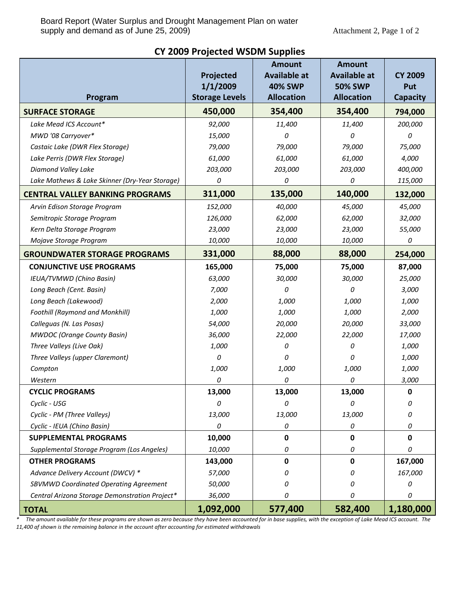| Program                                        | Projected<br>1/1/2009<br><b>Storage Levels</b> | <b>Amount</b><br><b>Available at</b><br><b>40% SWP</b><br><b>Allocation</b> | <b>Amount</b><br><b>Available at</b><br><b>50% SWP</b><br><b>Allocation</b> | <b>CY 2009</b><br>Put<br><b>Capacity</b> |
|------------------------------------------------|------------------------------------------------|-----------------------------------------------------------------------------|-----------------------------------------------------------------------------|------------------------------------------|
| <b>SURFACE STORAGE</b>                         | 450,000                                        | 354,400                                                                     | 354,400                                                                     | 794,000                                  |
| Lake Mead ICS Account*                         | 92,000                                         | 11,400                                                                      | 11,400                                                                      | 200,000                                  |
| MWD '08 Carryover*                             | 15,000                                         | 0                                                                           | 0                                                                           | 0                                        |
| Castaic Lake (DWR Flex Storage)                | 79,000                                         | 79,000                                                                      | 79,000                                                                      | 75,000                                   |
| Lake Perris (DWR Flex Storage)                 | 61,000                                         | 61,000                                                                      | 61,000                                                                      | 4,000                                    |
| Diamond Valley Lake                            | 203,000                                        | 203,000                                                                     | 203,000                                                                     | 400,000                                  |
| Lake Mathews & Lake Skinner (Dry-Year Storage) | 0                                              | 0                                                                           | 0                                                                           | 115,000                                  |
| <b>CENTRAL VALLEY BANKING PROGRAMS</b>         | 311,000                                        | 135,000                                                                     | 140,000                                                                     | 132,000                                  |
| Arvin Edison Storage Program                   | 152,000                                        | 40,000                                                                      | 45,000                                                                      | 45,000                                   |
| Semitropic Storage Program                     | 126,000                                        | 62,000                                                                      | 62,000                                                                      | 32,000                                   |
| Kern Delta Storage Program                     | 23,000                                         | 23,000                                                                      | 23,000                                                                      | 55,000                                   |
| Mojave Storage Program                         | 10,000                                         | 10,000                                                                      | 10,000                                                                      | 0                                        |
| <b>GROUNDWATER STORAGE PROGRAMS</b>            | 331,000                                        | 88,000                                                                      | 88,000                                                                      | 254,000                                  |
| <b>CONJUNCTIVE USE PROGRAMS</b>                | 165,000                                        | 75,000                                                                      | 75,000                                                                      | 87,000                                   |
| IEUA/TVMWD (Chino Basin)                       | 63,000                                         | 30,000                                                                      | 30,000                                                                      | 25,000                                   |
| Long Beach (Cent. Basin)                       | 7,000                                          | 0                                                                           | 0                                                                           | 3,000                                    |
| Long Beach (Lakewood)                          | 2,000                                          | 1,000                                                                       | 1,000                                                                       | 1,000                                    |
| <b>Foothill (Raymond and Monkhill)</b>         | 1,000                                          | 1,000                                                                       | 1,000                                                                       | 2,000                                    |
| Calleguas (N. Las Posas)                       | 54,000                                         | 20,000                                                                      | 20,000                                                                      | 33,000                                   |
| <b>MWDOC</b> (Orange County Basin)             | 36,000                                         | 22,000                                                                      | 22,000                                                                      | 17,000                                   |
| Three Valleys (Live Oak)                       | 1,000                                          | 0                                                                           | 0                                                                           | 1,000                                    |
| Three Valleys (upper Claremont)                | 0                                              | 0                                                                           | 0                                                                           | 1,000                                    |
| Compton                                        | 1,000                                          | 1,000                                                                       | 1,000                                                                       | 1,000                                    |
| Western                                        | 0                                              | 0                                                                           | 0                                                                           | 3,000                                    |
| <b>CYCLIC PROGRAMS</b>                         | 13,000                                         | 13,000                                                                      | 13,000                                                                      | $\mathbf 0$                              |
| Cyclic - USG                                   | 0                                              | 0                                                                           | 0                                                                           | 0                                        |
| Cyclic - PM (Three Valleys)                    | 13,000                                         | 13,000                                                                      | 13,000                                                                      | 0                                        |
| Cyclic - IEUA (Chino Basin)                    | 0                                              | 0                                                                           | 0                                                                           | 0                                        |
| <b>SUPPLEMENTAL PROGRAMS</b>                   | 10,000                                         | 0                                                                           | 0                                                                           | 0                                        |
| Supplemental Storage Program (Los Angeles)     | 10,000                                         | 0                                                                           | 0                                                                           | 0                                        |
| <b>OTHER PROGRAMS</b>                          | 143,000                                        | 0                                                                           | 0                                                                           | 167,000                                  |
| Advance Delivery Account (DWCV) *              | 57,000                                         | 0                                                                           | 0                                                                           | 167,000                                  |
| SBVMWD Coordinated Operating Agreement         | 50,000                                         | 0                                                                           | 0                                                                           | 0                                        |
| Central Arizona Storage Demonstration Project* | 36,000                                         | 0                                                                           | Ω                                                                           | 0                                        |
| <b>TOTAL</b>                                   | 1,092,000                                      | 577,400                                                                     | 582,400                                                                     | 1,180,000                                |

# **CY 2009 Projected WSDM Supplies**

\* The amount available for these programs are shown as zero because they have been accounted for in base supplies, with the exception of Lake Mead ICS account. The *11,400 af shown is the remaining balance in the account after accounting for estimated withdrawals*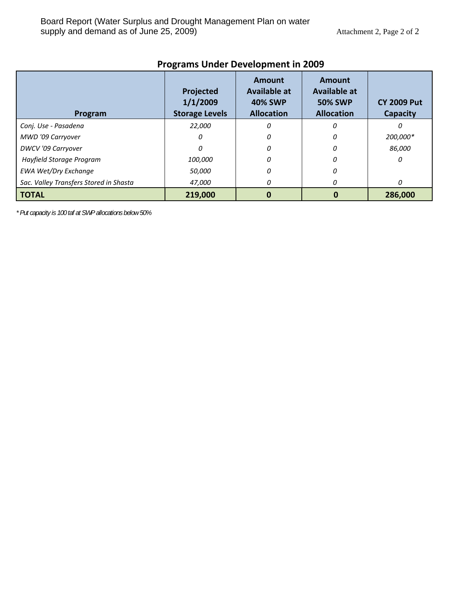| Program                                | Projected<br>1/1/2009<br><b>Storage Levels</b> | <b>Amount</b><br><b>Available at</b><br><b>40% SWP</b><br><b>Allocation</b> | Amount<br><b>Available at</b><br><b>50% SWP</b><br><b>Allocation</b> | <b>CY 2009 Put</b><br>Capacity |
|----------------------------------------|------------------------------------------------|-----------------------------------------------------------------------------|----------------------------------------------------------------------|--------------------------------|
| Conj. Use - Pasadena                   | 22,000                                         | 0                                                                           | 0                                                                    |                                |
| MWD '09 Carryover                      | 0                                              | 0                                                                           | 0                                                                    | 200,000*                       |
| DWCV '09 Carryover                     | 0                                              | 0                                                                           | 0                                                                    | 86,000                         |
| Hayfield Storage Program               | 100,000                                        | N                                                                           | Ω                                                                    | n                              |
| <b>EWA Wet/Dry Exchange</b>            | 50,000                                         | 0                                                                           |                                                                      |                                |
| Sac. Valley Transfers Stored in Shasta | 47,000                                         | 0                                                                           | n                                                                    | 0                              |
| <b>TOTAL</b>                           | 219,000                                        |                                                                             |                                                                      | 286,000                        |

# **Programs Under Development in 2009**

*\* Put capacity is 100 taf at SWP allocations below 50%*